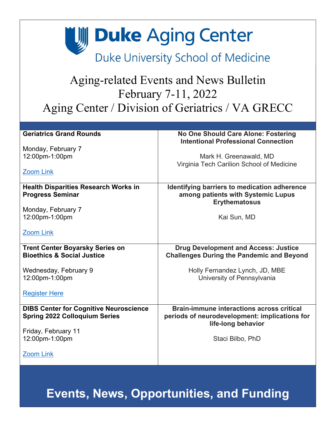**Duke Aging Center** 

Duke University School of Medicine

### Aging-related Events and News Bulletin February 7-11, 2022 Aging Center / Division of Geriatrics / VA GRECC

| <b>Geriatrics Grand Rounds</b>                                                        | No One Should Care Alone: Fostering<br><b>Intentional Professional Connection</b>                                       |
|---------------------------------------------------------------------------------------|-------------------------------------------------------------------------------------------------------------------------|
| Monday, February 7                                                                    |                                                                                                                         |
| 12:00pm-1:00pm                                                                        | Mark H. Greenawald, MD                                                                                                  |
|                                                                                       | Virginia Tech Carilion School of Medicine                                                                               |
| <b>Zoom Link</b>                                                                      |                                                                                                                         |
| <b>Health Disparities Research Works in</b><br><b>Progress Seminar</b>                | Identifying barriers to medication adherence<br>among patients with Systemic Lupus<br><b>Erythematosus</b>              |
| Monday, February 7                                                                    |                                                                                                                         |
| 12:00pm-1:00pm                                                                        | Kai Sun, MD                                                                                                             |
| <b>Zoom Link</b>                                                                      |                                                                                                                         |
| <b>Trent Center Boyarsky Series on</b><br><b>Bioethics &amp; Social Justice</b>       | <b>Drug Development and Access: Justice</b><br><b>Challenges During the Pandemic and Beyond</b>                         |
| Wednesday, February 9                                                                 | Holly Fernandez Lynch, JD, MBE                                                                                          |
| 12:00pm-1:00pm                                                                        | University of Pennsylvania                                                                                              |
|                                                                                       |                                                                                                                         |
| <b>Register Here</b>                                                                  |                                                                                                                         |
| <b>DIBS Center for Cognitive Neuroscience</b><br><b>Spring 2022 Colloquium Series</b> | <b>Brain-immune interactions across critical</b><br>periods of neurodevelopment: implications for<br>life-long behavior |
| Friday, February 11                                                                   |                                                                                                                         |
| 12:00pm-1:00pm                                                                        | Staci Bilbo, PhD                                                                                                        |
|                                                                                       |                                                                                                                         |
| <b>Zoom Link</b>                                                                      |                                                                                                                         |

**Events, News, Opportunities, and Funding**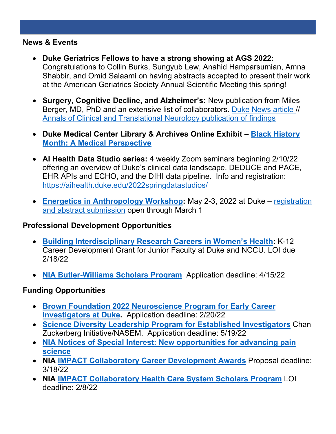### **News & Events**

- **Duke Geriatrics Fellows to have a strong showing at AGS 2022:**  Congratulations to Collin Burks, Sungyub Lew, Anahid Hamparsumian, Amna Shabbir, and Omid Salaami on having abstracts accepted to present their work at the American Geriatrics Society Annual Scientific Meeting this spring!
- **Surgery, Cognitive Decline, and Alzheimer's:** New publication from Miles Berger, MD, PhD and an extensive list of collaborators. [Duke News article](https://corporate.dukehealth.org/news/no-link-between-cognitive-changes-alzheimers-markers-after-major-surgery) // [Annals of Clinical and Translational Neurology publication of findings](https://doi.org/10.1002/acn3.51499)
- **Duke Medical Center Library & Archives Online Exhibit – [Black History](https://guides.mclibrary.duke.edu/blackhistorymonth)  [Month: A Medical Perspective](https://guides.mclibrary.duke.edu/blackhistorymonth)**
- **AI Health Data Studio series:** 4 weekly Zoom seminars beginning 2/10/22 offering an overview of Duke's clinical data landscape, DEDUCE and PACE, EHR APIs and ECHO, and the DIHI data pipeline. Info and registration: <https://aihealth.duke.edu/2022springdatastudios/>
- **[Energetics in Anthropology Workshop:](https://sites.duke.edu/pontzerlab/energetics-anthropology-workshop/)** May 2-3, 2022 at Duke [registration](https://docs.google.com/forms/d/e/1FAIpQLSf11Xqm3y05gl6UffyMpDe56rDUVPJ63accThovk_vnE6dZcQ/viewform)  [and abstract submission](https://docs.google.com/forms/d/e/1FAIpQLSf11Xqm3y05gl6UffyMpDe56rDUVPJ63accThovk_vnE6dZcQ/viewform) open through March 1

### **Professional Development Opportunities**

- **[Building Interdisciplinary Research Careers in Women's Health:](https://obgyn.duke.edu/education-and-training/bircwh-k12-program)** K-12 Career Development Grant for Junior Faculty at Duke and NCCU. LOI due 2/18/22
- **[NIA Butler-Williams Scholars Program](https://www.nia.nih.gov/news/butler-williams-scholars-program-2022)** Application deadline: 4/15/22

### **Funding Opportunities**

- **[Brown Foundation 2022 Neuroscience Program for Early Career](https://researchfunding.duke.edu/duke-aging-center-and-joe-w-and-dorothy-dorsett-brown-foundation-2022-neuroscience-program-request)  [Investigators at Duke.](https://researchfunding.duke.edu/duke-aging-center-and-joe-w-and-dorothy-dorsett-brown-foundation-2022-neuroscience-program-request)** Application deadline: 2/20/22
- **[Science Diversity Leadership Program for Established Investigators](https://czi-sciencediversityleadership.nas.edu/)** Chan Zuckerberg Initiative/NASEM. Application deadline: 5/19/22
- **[NIA Notices of Special Interest: New opportunities for advancing pain](https://www.nia.nih.gov/news/new-opportunities-advancing-pain-science)  [science](https://www.nia.nih.gov/news/new-opportunities-advancing-pain-science)**
- **NIA [IMPACT Collaboratory Career Development Awards](https://impactcollaboratory.org/cda/)** Proposal deadline: 3/18/22
- **NIA [IMPACT Collaboratory Health Care System Scholars Program](https://impactcollaboratory.org/hcs-scholars/)** LOI deadline: 2/8/22